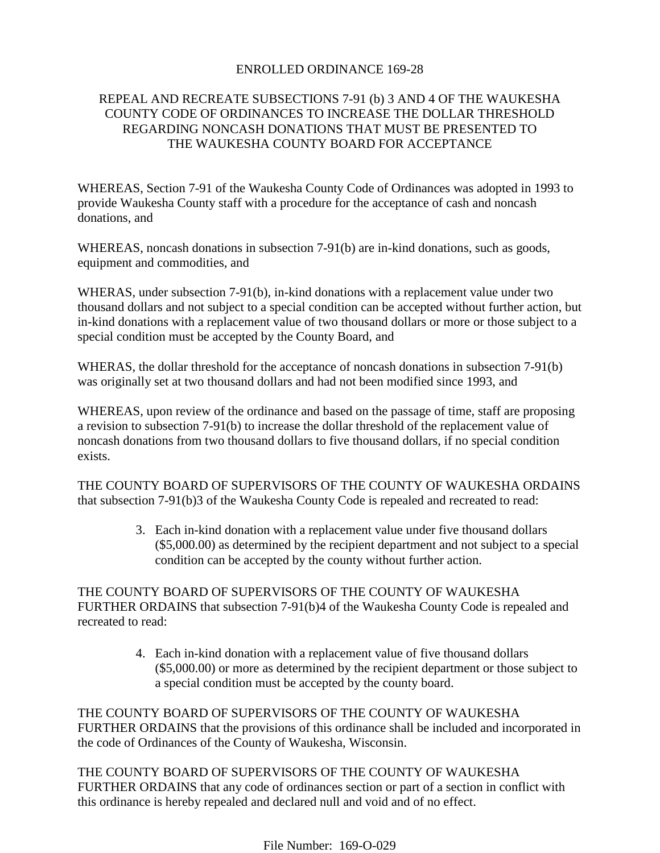## ENROLLED ORDINANCE 169-28

## REPEAL AND RECREATE SUBSECTIONS 7-91 (b) 3 AND 4 OF THE WAUKESHA COUNTY CODE OF ORDINANCES TO INCREASE THE DOLLAR THRESHOLD REGARDING NONCASH DONATIONS THAT MUST BE PRESENTED TO THE WAUKESHA COUNTY BOARD FOR ACCEPTANCE

WHEREAS, Section 7-91 of the Waukesha County Code of Ordinances was adopted in 1993 to provide Waukesha County staff with a procedure for the acceptance of cash and noncash donations, and

WHEREAS, noncash donations in subsection 7-91(b) are in-kind donations, such as goods, equipment and commodities, and

WHERAS, under subsection 7-91(b), in-kind donations with a replacement value under two thousand dollars and not subject to a special condition can be accepted without further action, but in-kind donations with a replacement value of two thousand dollars or more or those subject to a special condition must be accepted by the County Board, and

WHERAS, the dollar threshold for the acceptance of noncash donations in subsection 7-91(b) was originally set at two thousand dollars and had not been modified since 1993, and

WHEREAS, upon review of the ordinance and based on the passage of time, staff are proposing a revision to subsection 7-91(b) to increase the dollar threshold of the replacement value of noncash donations from two thousand dollars to five thousand dollars, if no special condition exists.

THE COUNTY BOARD OF SUPERVISORS OF THE COUNTY OF WAUKESHA ORDAINS that subsection 7-91(b)3 of the Waukesha County Code is repealed and recreated to read:

> 3. Each in-kind donation with a replacement value under five thousand dollars (\$5,000.00) as determined by the recipient department and not subject to a special condition can be accepted by the county without further action.

THE COUNTY BOARD OF SUPERVISORS OF THE COUNTY OF WAUKESHA FURTHER ORDAINS that subsection 7-91(b)4 of the Waukesha County Code is repealed and recreated to read:

> 4. Each in-kind donation with a replacement value of five thousand dollars (\$5,000.00) or more as determined by the recipient department or those subject to a special condition must be accepted by the county board.

THE COUNTY BOARD OF SUPERVISORS OF THE COUNTY OF WAUKESHA FURTHER ORDAINS that the provisions of this ordinance shall be included and incorporated in the code of Ordinances of the County of Waukesha, Wisconsin.

THE COUNTY BOARD OF SUPERVISORS OF THE COUNTY OF WAUKESHA FURTHER ORDAINS that any code of ordinances section or part of a section in conflict with this ordinance is hereby repealed and declared null and void and of no effect.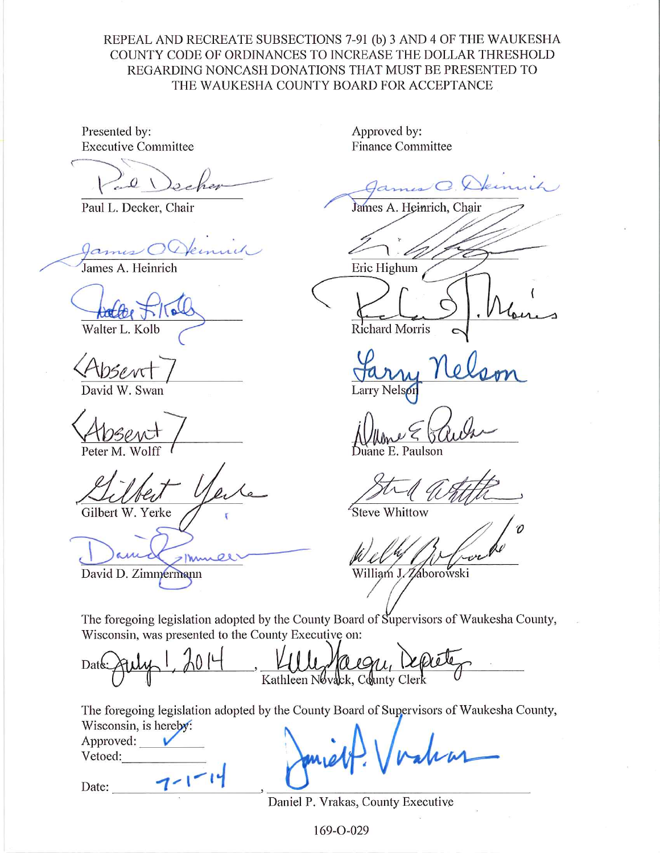REPEAL AND RECREATE SUBSECTIONS 7-91 (b) 3 AND 4 OF THE WAUKESHA COUNTY CODE OF ORDINANCES TO INCREASE THE DOLLAR THRESHOLD REGARDING NONCASH DONATIONS THAT MUST BE PRESENTED TO THE WAUKESHA COUNTY BOARD FOR ACCEPTANCE

Presented by: **Executive Committee** 

Paul L. Decker, Chair

James

James A. Heinrich

Walter L. Kolb

David W. Swan

Gilbert W. Yerke

David D. Zimmermann

Approved by: **Finance Committee** 

James A. Heinrich, Chair

Eric Highum

Richard Morris

Larry Nels

E. Paulson

Steve Whittow

William J. Zaborowski

The foregoing legislation adopted by the County Board of Supervisors of Waukesha County, Wisconsin, was presented to the County Executive on:

Date Kathleen Novack, County Clerk

The foregoing legislation adopted by the County Board of Supervisors of Waukesha County, Wisconsin, is hereby:

| Approved: |  |
|-----------|--|
| Vetoed:   |  |
| Date:     |  |

Daniel P. Vrakas, County Executive

169-O-029